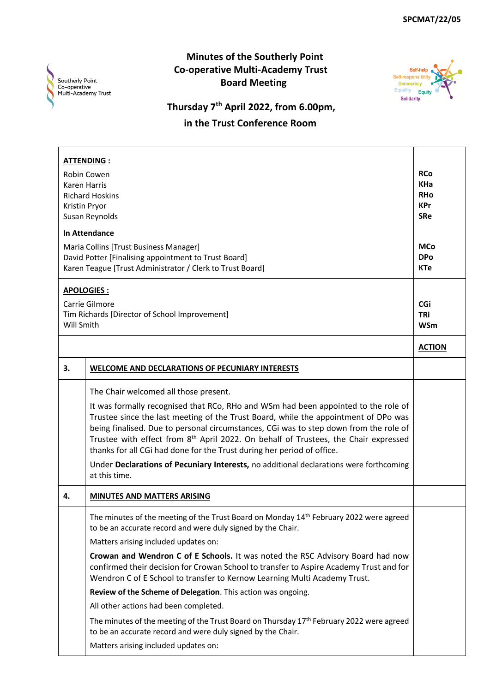

## **Minutes of the Southerly Point Co-operative Multi-Academy Trust Board Meeting**



## **Thursday 7th April 2022, from 6.00pm, in the Trust Conference Room**

|            | <b>ATTENDING:</b>                                                                                                                                                         |                          |
|------------|---------------------------------------------------------------------------------------------------------------------------------------------------------------------------|--------------------------|
|            | Robin Cowen<br><b>Karen Harris</b>                                                                                                                                        | <b>RCo</b><br><b>KHa</b> |
|            | <b>Richard Hoskins</b>                                                                                                                                                    | <b>RHo</b>               |
|            | Kristin Pryor                                                                                                                                                             | <b>KPr</b>               |
|            | Susan Reynolds                                                                                                                                                            | <b>SRe</b>               |
|            | <b>In Attendance</b>                                                                                                                                                      |                          |
|            | Maria Collins [Trust Business Manager]                                                                                                                                    | <b>MCo</b>               |
|            | David Potter [Finalising appointment to Trust Board]                                                                                                                      | <b>DPo</b>               |
|            | Karen Teague [Trust Administrator / Clerk to Trust Board]                                                                                                                 | <b>KTe</b>               |
|            | APOLOGIES:                                                                                                                                                                |                          |
|            | Carrie Gilmore                                                                                                                                                            | CGi                      |
|            | Tim Richards [Director of School Improvement]                                                                                                                             | <b>TRi</b>               |
| Will Smith |                                                                                                                                                                           | <b>WSm</b>               |
|            |                                                                                                                                                                           | <b>ACTION</b>            |
| 3.         | <b>WELCOME AND DECLARATIONS OF PECUNIARY INTERESTS</b>                                                                                                                    |                          |
|            | The Chair welcomed all those present.                                                                                                                                     |                          |
|            | It was formally recognised that RCo, RHo and WSm had been appointed to the role of                                                                                        |                          |
|            | Trustee since the last meeting of the Trust Board, while the appointment of DPo was                                                                                       |                          |
|            | being finalised. Due to personal circumstances, CGi was to step down from the role of                                                                                     |                          |
|            | Trustee with effect from 8 <sup>th</sup> April 2022. On behalf of Trustees, the Chair expressed<br>thanks for all CGi had done for the Trust during her period of office. |                          |
|            |                                                                                                                                                                           |                          |
|            | Under Declarations of Pecuniary Interests, no additional declarations were forthcoming<br>at this time.                                                                   |                          |
| 4.         | <b>MINUTES AND MATTERS ARISING</b>                                                                                                                                        |                          |
|            | The minutes of the meeting of the Trust Board on Monday 14 <sup>th</sup> February 2022 were agreed                                                                        |                          |
|            | to be an accurate record and were duly signed by the Chair.                                                                                                               |                          |
|            | Matters arising included updates on:                                                                                                                                      |                          |
|            | Crowan and Wendron C of E Schools. It was noted the RSC Advisory Board had now                                                                                            |                          |
|            | confirmed their decision for Crowan School to transfer to Aspire Academy Trust and for                                                                                    |                          |
|            | Wendron C of E School to transfer to Kernow Learning Multi Academy Trust.                                                                                                 |                          |
|            | Review of the Scheme of Delegation. This action was ongoing.                                                                                                              |                          |
|            | All other actions had been completed.                                                                                                                                     |                          |
|            | The minutes of the meeting of the Trust Board on Thursday 17 <sup>th</sup> February 2022 were agreed<br>to be an accurate record and were duly signed by the Chair.       |                          |
|            | Matters arising included updates on:                                                                                                                                      |                          |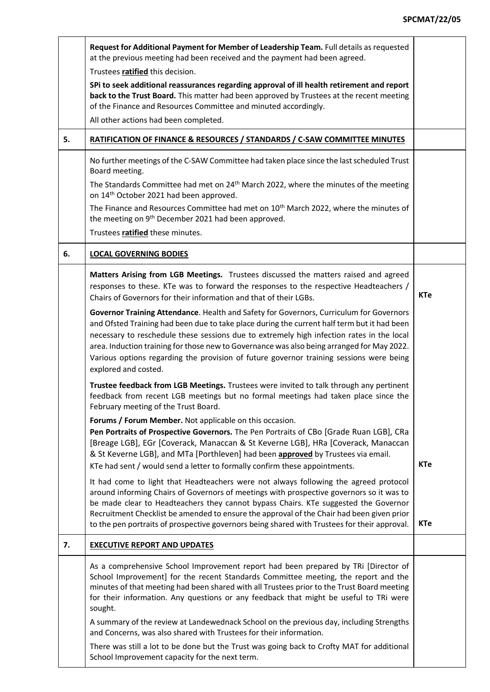|    | Request for Additional Payment for Member of Leadership Team. Full details as requested<br>at the previous meeting had been received and the payment had been agreed.                                                                                                                                                                                                                                                                                                                                |            |
|----|------------------------------------------------------------------------------------------------------------------------------------------------------------------------------------------------------------------------------------------------------------------------------------------------------------------------------------------------------------------------------------------------------------------------------------------------------------------------------------------------------|------------|
|    | Trustees ratified this decision.                                                                                                                                                                                                                                                                                                                                                                                                                                                                     |            |
|    | SPi to seek additional reassurances regarding approval of ill health retirement and report<br>back to the Trust Board. This matter had been approved by Trustees at the recent meeting<br>of the Finance and Resources Committee and minuted accordingly.                                                                                                                                                                                                                                            |            |
|    | All other actions had been completed.                                                                                                                                                                                                                                                                                                                                                                                                                                                                |            |
| 5. | RATIFICATION OF FINANCE & RESOURCES / STANDARDS / C-SAW COMMITTEE MINUTES                                                                                                                                                                                                                                                                                                                                                                                                                            |            |
|    | No further meetings of the C-SAW Committee had taken place since the last scheduled Trust<br>Board meeting.                                                                                                                                                                                                                                                                                                                                                                                          |            |
|    | The Standards Committee had met on 24 <sup>th</sup> March 2022, where the minutes of the meeting<br>on 14 <sup>th</sup> October 2021 had been approved.                                                                                                                                                                                                                                                                                                                                              |            |
|    | The Finance and Resources Committee had met on 10 <sup>th</sup> March 2022, where the minutes of<br>the meeting on 9 <sup>th</sup> December 2021 had been approved.                                                                                                                                                                                                                                                                                                                                  |            |
|    | Trustees ratified these minutes.                                                                                                                                                                                                                                                                                                                                                                                                                                                                     |            |
| 6. | <b>LOCAL GOVERNING BODIES</b>                                                                                                                                                                                                                                                                                                                                                                                                                                                                        |            |
|    | Matters Arising from LGB Meetings. Trustees discussed the matters raised and agreed<br>responses to these. KTe was to forward the responses to the respective Headteachers /<br>Chairs of Governors for their information and that of their LGBs.                                                                                                                                                                                                                                                    | <b>KTe</b> |
|    | Governor Training Attendance. Health and Safety for Governors, Curriculum for Governors<br>and Ofsted Training had been due to take place during the current half term but it had been<br>necessary to reschedule these sessions due to extremely high infection rates in the local<br>area. Induction training for those new to Governance was also being arranged for May 2022.<br>Various options regarding the provision of future governor training sessions were being<br>explored and costed. |            |
|    | Trustee feedback from LGB Meetings. Trustees were invited to talk through any pertinent<br>feedback from recent LGB meetings but no formal meetings had taken place since the<br>February meeting of the Trust Board.                                                                                                                                                                                                                                                                                |            |
|    | Forums / Forum Member. Not applicable on this occasion.<br>Pen Portraits of Prospective Governors. The Pen Portraits of CBo [Grade Ruan LGB], CRa<br>[Breage LGB], EGr [Coverack, Manaccan & St Keverne LGB], HRa [Coverack, Manaccan<br>& St Keverne LGB], and MTa [Porthleven] had been approved by Trustees via email.<br>KTe had sent / would send a letter to formally confirm these appointments.                                                                                              | <b>KTe</b> |
|    | It had come to light that Headteachers were not always following the agreed protocol<br>around informing Chairs of Governors of meetings with prospective governors so it was to<br>be made clear to Headteachers they cannot bypass Chairs. KTe suggested the Governor<br>Recruitment Checklist be amended to ensure the approval of the Chair had been given prior<br>to the pen portraits of prospective governors being shared with Trustees for their approval.                                 | <b>KTe</b> |
| 7. | <b>EXECUTIVE REPORT AND UPDATES</b>                                                                                                                                                                                                                                                                                                                                                                                                                                                                  |            |
|    | As a comprehensive School Improvement report had been prepared by TRI [Director of<br>School Improvement] for the recent Standards Committee meeting, the report and the<br>minutes of that meeting had been shared with all Trustees prior to the Trust Board meeting<br>for their information. Any questions or any feedback that might be useful to TRi were<br>sought.                                                                                                                           |            |
|    | A summary of the review at Landewednack School on the previous day, including Strengths<br>and Concerns, was also shared with Trustees for their information.                                                                                                                                                                                                                                                                                                                                        |            |
|    | There was still a lot to be done but the Trust was going back to Crofty MAT for additional<br>School Improvement capacity for the next term.                                                                                                                                                                                                                                                                                                                                                         |            |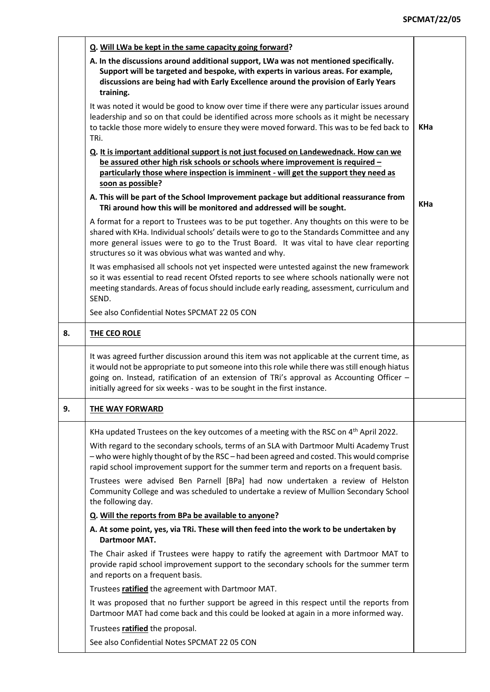|    | Q. Will LWa be kept in the same capacity going forward?                                                                                                                                                                                                                                                                                                                |            |
|----|------------------------------------------------------------------------------------------------------------------------------------------------------------------------------------------------------------------------------------------------------------------------------------------------------------------------------------------------------------------------|------------|
|    | A. In the discussions around additional support, LWa was not mentioned specifically.<br>Support will be targeted and bespoke, with experts in various areas. For example,<br>discussions are being had with Early Excellence around the provision of Early Years<br>training.                                                                                          |            |
|    | It was noted it would be good to know over time if there were any particular issues around<br>leadership and so on that could be identified across more schools as it might be necessary<br>to tackle those more widely to ensure they were moved forward. This was to be fed back to<br>TRi.                                                                          | <b>KHa</b> |
|    | Q. It is important additional support is not just focused on Landewednack. How can we<br>be assured other high risk schools or schools where improvement is required -                                                                                                                                                                                                 |            |
|    | particularly those where inspection is imminent - will get the support they need as<br>soon as possible?                                                                                                                                                                                                                                                               |            |
|    | A. This will be part of the School Improvement package but additional reassurance from<br>TRi around how this will be monitored and addressed will be sought.                                                                                                                                                                                                          | <b>KHa</b> |
|    | A format for a report to Trustees was to be put together. Any thoughts on this were to be<br>shared with KHa. Individual schools' details were to go to the Standards Committee and any<br>more general issues were to go to the Trust Board. It was vital to have clear reporting<br>structures so it was obvious what was wanted and why.                            |            |
|    | It was emphasised all schools not yet inspected were untested against the new framework<br>so it was essential to read recent Ofsted reports to see where schools nationally were not<br>meeting standards. Areas of focus should include early reading, assessment, curriculum and<br>SEND.                                                                           |            |
|    | See also Confidential Notes SPCMAT 22 05 CON                                                                                                                                                                                                                                                                                                                           |            |
| 8. | THE CEO ROLE                                                                                                                                                                                                                                                                                                                                                           |            |
|    | It was agreed further discussion around this item was not applicable at the current time, as<br>it would not be appropriate to put someone into this role while there was still enough hiatus<br>going on. Instead, ratification of an extension of TRi's approval as Accounting Officer -<br>initially agreed for six weeks - was to be sought in the first instance. |            |
| 9. | THE WAY FORWARD                                                                                                                                                                                                                                                                                                                                                        |            |
|    | KHa updated Trustees on the key outcomes of a meeting with the RSC on 4 <sup>th</sup> April 2022.                                                                                                                                                                                                                                                                      |            |
|    | With regard to the secondary schools, terms of an SLA with Dartmoor Multi Academy Trust<br>- who were highly thought of by the RSC - had been agreed and costed. This would comprise<br>rapid school improvement support for the summer term and reports on a frequent basis.                                                                                          |            |
|    | Trustees were advised Ben Parnell [BPa] had now undertaken a review of Helston<br>Community College and was scheduled to undertake a review of Mullion Secondary School<br>the following day.                                                                                                                                                                          |            |
|    | Q. Will the reports from BPa be available to anyone?                                                                                                                                                                                                                                                                                                                   |            |
|    | A. At some point, yes, via TRi. These will then feed into the work to be undertaken by<br><b>Dartmoor MAT.</b>                                                                                                                                                                                                                                                         |            |
|    | The Chair asked if Trustees were happy to ratify the agreement with Dartmoor MAT to<br>provide rapid school improvement support to the secondary schools for the summer term<br>and reports on a frequent basis.                                                                                                                                                       |            |
|    | Trustees ratified the agreement with Dartmoor MAT.                                                                                                                                                                                                                                                                                                                     |            |
|    | It was proposed that no further support be agreed in this respect until the reports from<br>Dartmoor MAT had come back and this could be looked at again in a more informed way.                                                                                                                                                                                       |            |
|    | Trustees ratified the proposal.                                                                                                                                                                                                                                                                                                                                        |            |
|    | See also Confidential Notes SPCMAT 22 05 CON                                                                                                                                                                                                                                                                                                                           |            |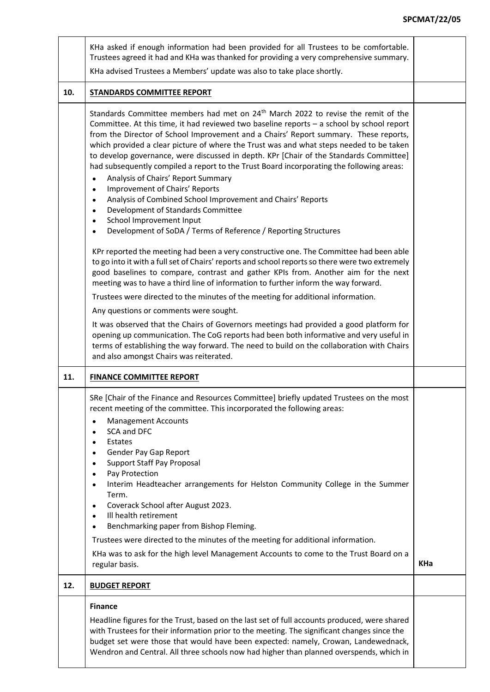## **SPCMAT/22/05**

|     | KHa asked if enough information had been provided for all Trustees to be comfortable.<br>Trustees agreed it had and KHa was thanked for providing a very comprehensive summary.<br>KHa advised Trustees a Members' update was also to take place shortly.                                                                                                                                                                                                                                                                                                                                                                                                                                                                                                                                                                                                                                                                                              |     |
|-----|--------------------------------------------------------------------------------------------------------------------------------------------------------------------------------------------------------------------------------------------------------------------------------------------------------------------------------------------------------------------------------------------------------------------------------------------------------------------------------------------------------------------------------------------------------------------------------------------------------------------------------------------------------------------------------------------------------------------------------------------------------------------------------------------------------------------------------------------------------------------------------------------------------------------------------------------------------|-----|
| 10. | <b>STANDARDS COMMITTEE REPORT</b>                                                                                                                                                                                                                                                                                                                                                                                                                                                                                                                                                                                                                                                                                                                                                                                                                                                                                                                      |     |
|     | Standards Committee members had met on 24 <sup>th</sup> March 2022 to revise the remit of the<br>Committee. At this time, it had reviewed two baseline reports - a school by school report<br>from the Director of School Improvement and a Chairs' Report summary. These reports,<br>which provided a clear picture of where the Trust was and what steps needed to be taken<br>to develop governance, were discussed in depth. KPr [Chair of the Standards Committee]<br>had subsequently compiled a report to the Trust Board incorporating the following areas:<br>Analysis of Chairs' Report Summary<br>Improvement of Chairs' Reports<br>$\bullet$<br>Analysis of Combined School Improvement and Chairs' Reports<br>Development of Standards Committee<br>School Improvement Input<br>Development of SoDA / Terms of Reference / Reporting Structures<br>KPr reported the meeting had been a very constructive one. The Committee had been able |     |
|     | to go into it with a full set of Chairs' reports and school reports so there were two extremely<br>good baselines to compare, contrast and gather KPIs from. Another aim for the next<br>meeting was to have a third line of information to further inform the way forward.                                                                                                                                                                                                                                                                                                                                                                                                                                                                                                                                                                                                                                                                            |     |
|     | Trustees were directed to the minutes of the meeting for additional information.                                                                                                                                                                                                                                                                                                                                                                                                                                                                                                                                                                                                                                                                                                                                                                                                                                                                       |     |
|     | Any questions or comments were sought.                                                                                                                                                                                                                                                                                                                                                                                                                                                                                                                                                                                                                                                                                                                                                                                                                                                                                                                 |     |
|     | It was observed that the Chairs of Governors meetings had provided a good platform for<br>opening up communication. The CoG reports had been both informative and very useful in<br>terms of establishing the way forward. The need to build on the collaboration with Chairs<br>and also amongst Chairs was reiterated.                                                                                                                                                                                                                                                                                                                                                                                                                                                                                                                                                                                                                               |     |
| 11. | <b>FINANCE COMMITTEE REPORT</b>                                                                                                                                                                                                                                                                                                                                                                                                                                                                                                                                                                                                                                                                                                                                                                                                                                                                                                                        |     |
|     | SRe [Chair of the Finance and Resources Committee] briefly updated Trustees on the most<br>recent meeting of the committee. This incorporated the following areas:<br><b>Management Accounts</b><br>$\bullet$<br>SCA and DFC<br>Estates<br>Gender Pay Gap Report<br><b>Support Staff Pay Proposal</b><br>Pay Protection<br>Interim Headteacher arrangements for Helston Community College in the Summer<br>Term.<br>Coverack School after August 2023.<br>Ill health retirement<br>Benchmarking paper from Bishop Fleming.<br>Trustees were directed to the minutes of the meeting for additional information.<br>KHa was to ask for the high level Management Accounts to come to the Trust Board on a<br>regular basis.                                                                                                                                                                                                                              | KHa |
| 12. | <b>BUDGET REPORT</b>                                                                                                                                                                                                                                                                                                                                                                                                                                                                                                                                                                                                                                                                                                                                                                                                                                                                                                                                   |     |
|     | <b>Finance</b><br>Headline figures for the Trust, based on the last set of full accounts produced, were shared<br>with Trustees for their information prior to the meeting. The significant changes since the<br>budget set were those that would have been expected: namely, Crowan, Landewednack,<br>Wendron and Central. All three schools now had higher than planned overspends, which in                                                                                                                                                                                                                                                                                                                                                                                                                                                                                                                                                         |     |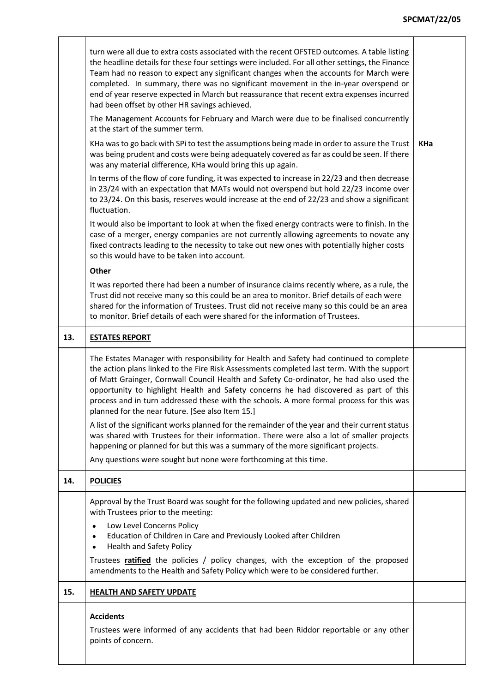## **SPCMAT/22/05**

|     | turn were all due to extra costs associated with the recent OFSTED outcomes. A table listing<br>the headline details for these four settings were included. For all other settings, the Finance<br>Team had no reason to expect any significant changes when the accounts for March were<br>completed. In summary, there was no significant movement in the in-year overspend or<br>end of year reserve expected in March but reassurance that recent extra expenses incurred<br>had been offset by other HR savings achieved.<br>The Management Accounts for February and March were due to be finalised concurrently<br>at the start of the summer term.<br>KHa was to go back with SPi to test the assumptions being made in order to assure the Trust<br>was being prudent and costs were being adequately covered as far as could be seen. If there<br>was any material difference, KHa would bring this up again.<br>In terms of the flow of core funding, it was expected to increase in 22/23 and then decrease<br>in 23/24 with an expectation that MATs would not overspend but hold 22/23 income over<br>to 23/24. On this basis, reserves would increase at the end of 22/23 and show a significant<br>fluctuation.<br>It would also be important to look at when the fixed energy contracts were to finish. In the<br>case of a merger, energy companies are not currently allowing agreements to novate any<br>fixed contracts leading to the necessity to take out new ones with potentially higher costs<br>so this would have to be taken into account. | <b>KHa</b> |
|-----|--------------------------------------------------------------------------------------------------------------------------------------------------------------------------------------------------------------------------------------------------------------------------------------------------------------------------------------------------------------------------------------------------------------------------------------------------------------------------------------------------------------------------------------------------------------------------------------------------------------------------------------------------------------------------------------------------------------------------------------------------------------------------------------------------------------------------------------------------------------------------------------------------------------------------------------------------------------------------------------------------------------------------------------------------------------------------------------------------------------------------------------------------------------------------------------------------------------------------------------------------------------------------------------------------------------------------------------------------------------------------------------------------------------------------------------------------------------------------------------------------------------------------------------------------------------------------|------------|
|     | Other<br>It was reported there had been a number of insurance claims recently where, as a rule, the<br>Trust did not receive many so this could be an area to monitor. Brief details of each were<br>shared for the information of Trustees. Trust did not receive many so this could be an area<br>to monitor. Brief details of each were shared for the information of Trustees.                                                                                                                                                                                                                                                                                                                                                                                                                                                                                                                                                                                                                                                                                                                                                                                                                                                                                                                                                                                                                                                                                                                                                                                       |            |
| 13. | <b>ESTATES REPORT</b>                                                                                                                                                                                                                                                                                                                                                                                                                                                                                                                                                                                                                                                                                                                                                                                                                                                                                                                                                                                                                                                                                                                                                                                                                                                                                                                                                                                                                                                                                                                                                    |            |
|     | The Estates Manager with responsibility for Health and Safety had continued to complete<br>the action plans linked to the Fire Risk Assessments completed last term. With the support<br>of Matt Grainger, Cornwall Council Health and Safety Co-ordinator, he had also used the<br>opportunity to highlight Health and Safety concerns he had discovered as part of this<br>process and in turn addressed these with the schools. A more formal process for this was<br>planned for the near future. [See also Item 15.]                                                                                                                                                                                                                                                                                                                                                                                                                                                                                                                                                                                                                                                                                                                                                                                                                                                                                                                                                                                                                                                |            |
|     | A list of the significant works planned for the remainder of the year and their current status<br>was shared with Trustees for their information. There were also a lot of smaller projects<br>happening or planned for but this was a summary of the more significant projects.<br>Any questions were sought but none were forthcoming at this time.                                                                                                                                                                                                                                                                                                                                                                                                                                                                                                                                                                                                                                                                                                                                                                                                                                                                                                                                                                                                                                                                                                                                                                                                                    |            |
| 14. | <b>POLICIES</b>                                                                                                                                                                                                                                                                                                                                                                                                                                                                                                                                                                                                                                                                                                                                                                                                                                                                                                                                                                                                                                                                                                                                                                                                                                                                                                                                                                                                                                                                                                                                                          |            |
|     | Approval by the Trust Board was sought for the following updated and new policies, shared<br>with Trustees prior to the meeting:<br>Low Level Concerns Policy<br>Education of Children in Care and Previously Looked after Children<br>$\bullet$<br><b>Health and Safety Policy</b><br>$\bullet$<br>Trustees ratified the policies / policy changes, with the exception of the proposed<br>amendments to the Health and Safety Policy which were to be considered further.                                                                                                                                                                                                                                                                                                                                                                                                                                                                                                                                                                                                                                                                                                                                                                                                                                                                                                                                                                                                                                                                                               |            |
| 15. | <b>HEALTH AND SAFETY UPDATE</b>                                                                                                                                                                                                                                                                                                                                                                                                                                                                                                                                                                                                                                                                                                                                                                                                                                                                                                                                                                                                                                                                                                                                                                                                                                                                                                                                                                                                                                                                                                                                          |            |
|     | <b>Accidents</b><br>Trustees were informed of any accidents that had been Riddor reportable or any other<br>points of concern.                                                                                                                                                                                                                                                                                                                                                                                                                                                                                                                                                                                                                                                                                                                                                                                                                                                                                                                                                                                                                                                                                                                                                                                                                                                                                                                                                                                                                                           |            |